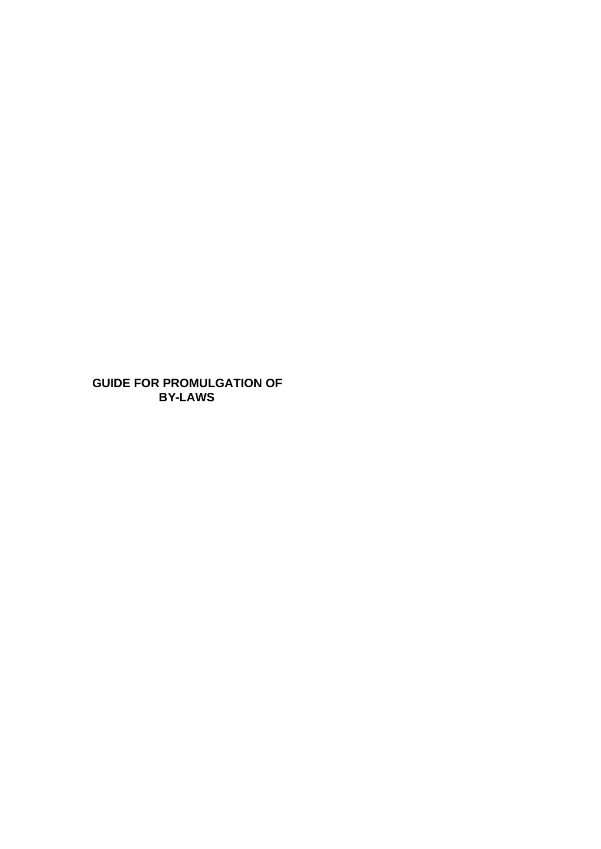**GUIDE FOR PROMULGATION OF BY-LAWS**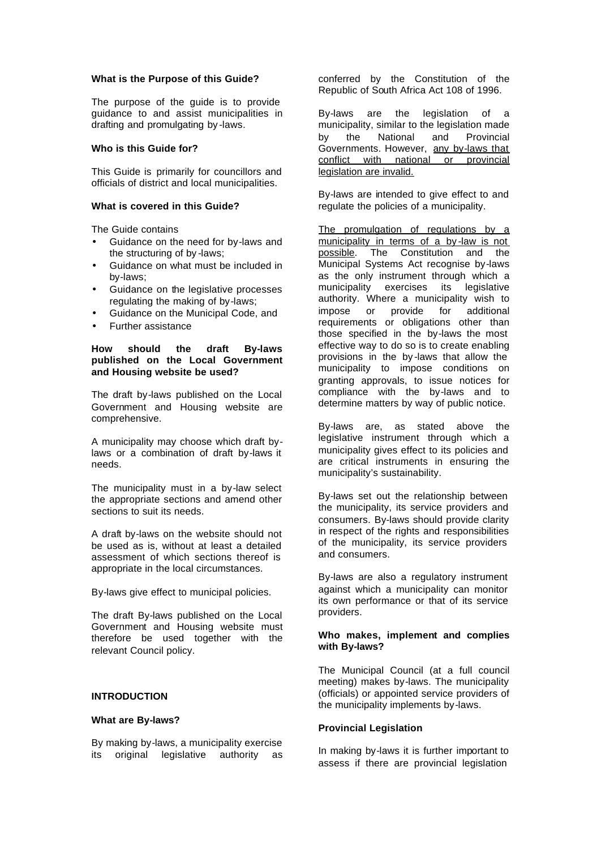### **What is the Purpose of this Guide?**

The purpose of the guide is to provide guidance to and assist municipalities in drafting and promulgating by -laws.

## **Who is this Guide for?**

This Guide is primarily for councillors and officials of district and local municipalities.

### **What is covered in this Guide?**

The Guide contains

- Guidance on the need for by-laws and the structuring of by -laws;
- Guidance on what must be included in by-laws;
- Guidance on the legislative processes regulating the making of by-laws;
- Guidance on the Municipal Code, and
- Further assistance

## **How should the draft By-laws published on the Local Government and Housing website be used?**

The draft by-laws published on the Local Government and Housing website are comprehensive.

A municipality may choose which draft bylaws or a combination of draft by-laws it needs.

The municipality must in a by-law select the appropriate sections and amend other sections to suit its needs.

A draft by-laws on the website should not be used as is, without at least a detailed assessment of which sections thereof is appropriate in the local circumstances.

By-laws give effect to municipal policies.

The draft By-laws published on the Local Government and Housing website must therefore be used together with the relevant Council policy.

#### **INTRODUCTION**

#### **What are By-laws?**

By making by-laws, a municipality exercise its original legislative authority as conferred by the Constitution of the Republic of South Africa Act 108 of 1996.

By-laws are the legislation of a municipality, similar to the legislation made by the National and Provincial Governments. However, any by-laws that conflict with national or provincial legislation are invalid.

By-laws are intended to give effect to and regulate the policies of a municipality.

The promulgation of regulations by a municipality in terms of a by-law is not possible. The Constitution and the The Constitution and the Municipal Systems Act recognise by-laws as the only instrument through which a municipality exercises its legislative authority. Where a municipality wish to impose or provide for additional requirements or obligations other than those specified in the by-laws the most effective way to do so is to create enabling provisions in the by -laws that allow the municipality to impose conditions on granting approvals, to issue notices for compliance with the by-laws and to determine matters by way of public notice.

By-laws are, as stated above the legislative instrument through which a municipality gives effect to its policies and are critical instruments in ensuring the municipality's sustainability.

By-laws set out the relationship between the municipality, its service providers and consumers. By-laws should provide clarity in respect of the rights and responsibilities of the municipality, its service providers and consumers.

By-laws are also a regulatory instrument against which a municipality can monitor its own performance or that of its service providers.

### **Who makes, implement and complies with By-laws?**

The Municipal Council (at a full council meeting) makes by-laws. The municipality (officials) or appointed service providers of the municipality implements by-laws.

## **Provincial Legislation**

In making by-laws it is further important to assess if there are provincial legislation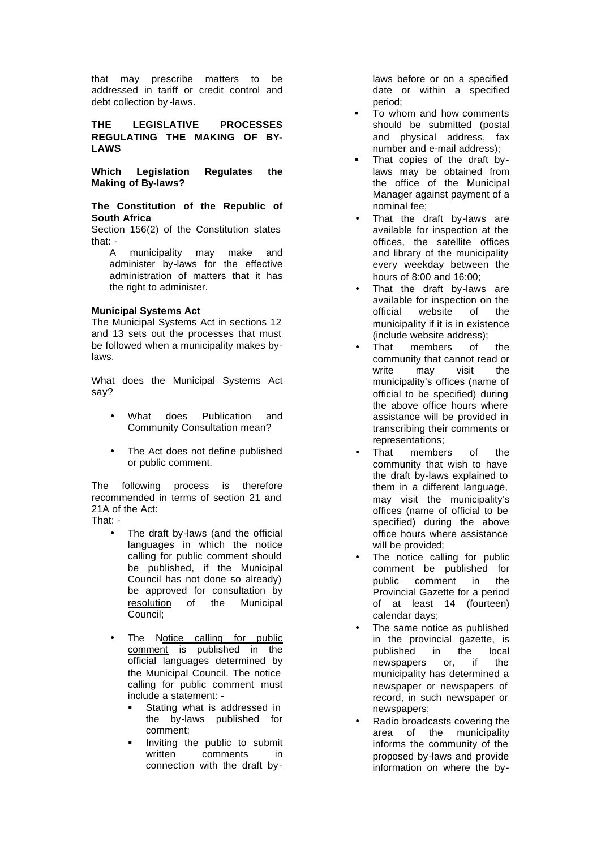that may prescribe matters to be addressed in tariff or credit control and debt collection by -laws.

**THE LEGISLATIVE PROCESSES REGULATING THE MAKING OF BY-LAWS**

**Which Legislation Regulates the Making of By -laws?**

**The Constitution of the Republic of South Africa** 

Section 156(2) of the Constitution states that: -

A municipality may make and administer by -laws for the effective administration of matters that it has the right to administer.

### **Municipal Systems Act**

The Municipal Systems Act in sections 12 and 13 sets out the processes that must be followed when a municipality makes by laws.

What does the Municipal Systems Act say?

- What does Publication and Community Consultation mean?
- The Act does not define published or public comment.

The following process is therefore recommended in terms of section 21 and 21A of the Act:

That: -

- The draft by-laws (and the official languages in which the notice calling for public comment should be published, if the Municipal Council has not done so already) be approved for consultation by resolution of the Municipal Council;
- The Notice calling for public comment is published in the official languages determined by the Municipal Council. The notice calling for public comment must include a statement: -
	- Stating what is addressed in the by -laws published for comment;
	- ß Inviting the public to submit written comments in connection with the draft by -

laws before or on a specified date or within a specified period;

- To whom and how comments should be submitted (postal and physical address, fax number and e -mail address);
- That copies of the draft bylaws may be obtained from the office of the Municipal Manager against payment of a nominal fee;
- That the draft by -laws are available for inspection at the offices, the satellite offices and library of the municipality every weekday between the hours of 8:00 and 16:00;
- That the draft by -laws are available for inspection on the official website of the municipality if it is in existence (include website address);
- That members of the community that cannot read or write may visit the municipality's offices (name of official to be specified) during the above office hours where assistance will be provided in transcribing their comments or representations;
- That members of the community that wish to have the draft by -laws explained to them in a different language, may visit the municipality's offices (name of official to be specified) during the above office hours where assistance will be provided;
- The notice calling for public comment be published for public comment in the Provincial Gazette for a period of at least 14 (fourteen) calendar days;
- The same notice as published in the provincial gazette, is published in the local newspapers or, if the municipality has determined a newspaper or newspapers of record, in such newspaper or newspapers;
- Radio broadcasts covering the area of the municipality informs the community of the proposed by -laws and provide information on where the by -